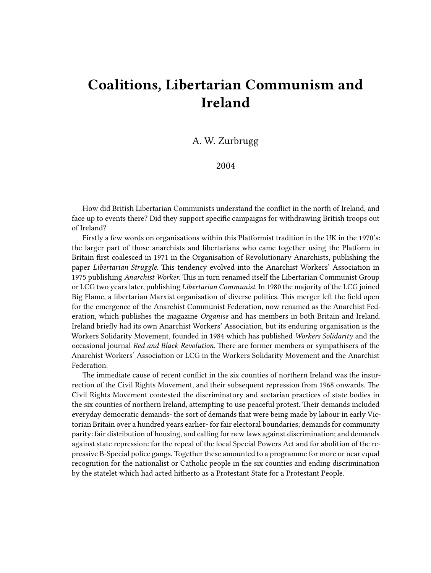## **Coalitions, Libertarian Communism and Ireland**

A. W. Zurbrugg

2004

How did British Libertarian Communists understand the conflict in the north of Ireland, and face up to events there? Did they support specific campaigns for withdrawing British troops out of Ireland?

Firstly a few words on organisations within this Platformist tradition in the UK in the 1970's: the larger part of those anarchists and libertarians who came together using the Platform in Britain first coalesced in 1971 in the Organisation of Revolutionary Anarchists, publishing the paper *Libertarian Struggle*. This tendency evolved into the Anarchist Workers' Association in 1975 publishing *Anarchist Worker*. This in turn renamed itself the Libertarian Communist Group or LCG two years later, publishing *Libertarian Communist*. In 1980 the majority of the LCG joined Big Flame, a libertarian Marxist organisation of diverse politics. This merger left the field open for the emergence of the Anarchist Communist Federation, now renamed as the Anarchist Federation, which publishes the magazine *Organise* and has members in both Britain and Ireland. Ireland briefly had its own Anarchist Workers' Association, but its enduring organisation is the Workers Solidarity Movement, founded in 1984 which has published *Workers Solidarity* and the occasional journal *Red and Black Revolution.* There are former members or sympathisers of the Anarchist Workers' Association or LCG in the Workers Solidarity Movement and the Anarchist Federation.

The immediate cause of recent conflict in the six counties of northern Ireland was the insurrection of the Civil Rights Movement, and their subsequent repression from 1968 onwards. The Civil Rights Movement contested the discriminatory and sectarian practices of state bodies in the six counties of northern Ireland, attempting to use peaceful protest. Their demands included everyday democratic demands- the sort of demands that were being made by labour in early Victorian Britain over a hundred years earlier- for fair electoral boundaries; demands for community parity: fair distribution of housing, and calling for new laws against discrimination; and demands against state repression: for the repeal of the local Special Powers Act and for abolition of the repressive B-Special police gangs. Together these amounted to a programme for more or near equal recognition for the nationalist or Catholic people in the six counties and ending discrimination by the statelet which had acted hitherto as a Protestant State for a Protestant People.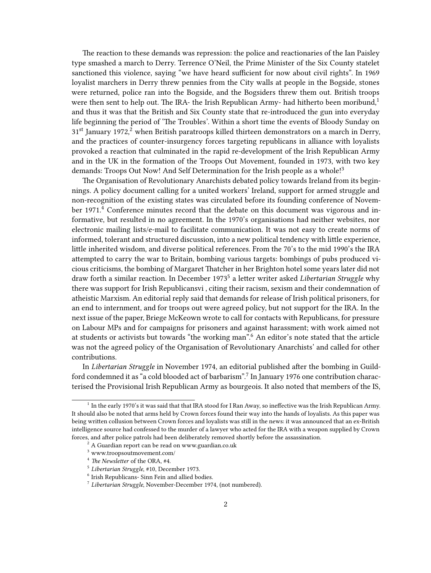The reaction to these demands was repression: the police and reactionaries of the Ian Paisley type smashed a march to Derry. Terrence O'Neil, the Prime Minister of the Six County statelet sanctioned this violence, saying "we have heard sufficient for now about civil rights". In 1969 loyalist marchers in Derry threw pennies from the City walls at people in the Bogside, stones were returned, police ran into the Bogside, and the Bogsiders threw them out. British troops were then sent to help out. The IRA- the Irish Republican Army- had hitherto been moribund,<sup>1</sup> and thus it was that the British and Six County state that re-introduced the gun into everyday life beginning the period of 'The Troubles'. Within a short time the events of Bloody Sunday on  $31<sup>st</sup>$  January 1972,<sup>2</sup> when British paratroops killed thirteen demonstrators on a march in Derry, and the practices of counter-insurgency forces targeting republicans in alliance with loyalists provoked a reaction that culminated in the rapid re-development of the Irish Republican Army and in the UK in the formation of the Troops Out Movement, founded in 1973, with two key demands: Troops Out Now! And Self Determination for the Irish people as a whole!<sup>3</sup>

The Organisation of Revolutionary Anarchists debated policy towards Ireland from its beginnings. A policy document calling for a united workers' Ireland, support for armed struggle and non-recognition of the existing states was circulated before its founding conference of November 1971.<sup>4</sup> Conference minutes record that the debate on this document was vigorous and informative, but resulted in no agreement. In the 1970's organisations had neither websites, nor electronic mailing lists/e-mail to facilitate communication. It was not easy to create norms of informed, tolerant and structured discussion, into a new political tendency with little experience, little inherited wisdom, and diverse political references. From the 70's to the mid 1990's the IRA attempted to carry the war to Britain, bombing various targets: bombings of pubs produced vicious criticisms, the bombing of Margaret Thatcher in her Brighton hotel some years later did not draw forth a similar reaction. In December 1973<sup>5</sup> a letter writer asked *Libertarian Struggle* why there was support for Irish Republicansvi , citing their racism, sexism and their condemnation of atheistic Marxism. An editorial reply said that demands for release of Irish political prisoners, for an end to internment, and for troops out were agreed policy, but not support for the IRA. In the next issue of the paper, Briege McKeown wrote to call for contacts with Republicans, for pressure on Labour MPs and for campaigns for prisoners and against harassment; with work aimed not at students or activists but towards "the working man".<sup>6</sup> An editor's note stated that the article was not the agreed policy of the Organisation of Revolutionary Anarchists' and called for other contributions.

In *Libertarian Struggle* in November 1974, an editorial published after the bombing in Guildford condemned it as "a cold blooded act of barbarism".<sup>7</sup> In January 1976 one contribution characterised the Provisional Irish Republican Army as bourgeois. It also noted that members of the IS,

<sup>&</sup>lt;sup>1</sup> In the early 1970's it was said that that IRA stood for I Ran Away, so ineffective was the Irish Republican Army. It should also be noted that arms held by Crown forces found their way into the hands of loyalists. As this paper was being written collusion between Crown forces and loyalists was still in the news: it was announced that an ex-British intelligence source had confessed to the murder of a lawyer who acted for the IRA with a weapon supplied by Crown forces, and after police patrols had been deliberately removed shortly before the assassination.

<sup>2</sup> A Guardian report can be read on [www.guardian.co.uk](http://www.guardian.co.uk/bloodysunday/article/0%2C2763%2C184928%2C00.html)

 $^{\rm 3}$ [www.troopsoutmovement.com/](http://www.troopsoutmovement.com)

<sup>4</sup> *The Newsletter* of the ORA, #4.

<sup>5</sup> *Libertarian Struggle*, #10, December 1973.

<sup>6</sup> Irish Republicans- Sinn Fein and allied bodies.

<sup>7</sup> *Libertarian Struggle*, November-December 1974, (not numbered).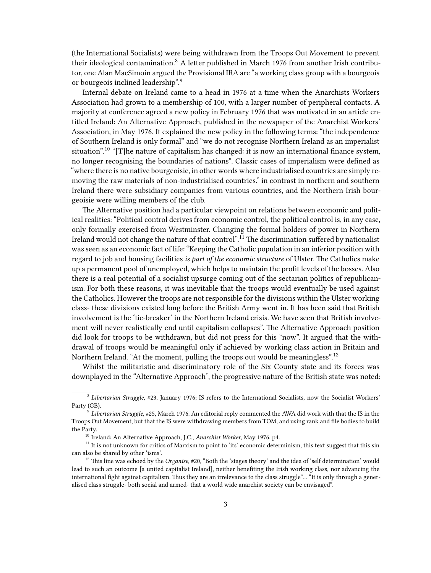(the International Socialists) were being withdrawn from the Troops Out Movement to prevent their ideological contamination.<sup>8</sup> A letter published in March 1976 from another Irish contributor, one Alan MacSimoin argued the Provisional IRA are "a working class group with a bourgeois or bourgeois inclined leadership".<sup>9</sup>

Internal debate on Ireland came to a head in 1976 at a time when the Anarchists Workers Association had grown to a membership of 100, with a larger number of peripheral contacts. A majority at conference agreed a new policy in February 1976 that was motivated in an article entitled Ireland: An Alternative Approach, published in the newspaper of the Anarchist Workers' Association, in May 1976. It explained the new policy in the following terms: "the independence of Southern Ireland is only formal" and "we do not recognise Northern Ireland as an imperialist situation".<sup>10</sup> "[T]he nature of capitalism has changed: it is now an international finance system, no longer recognising the boundaries of nations". Classic cases of imperialism were defined as "where there is no native bourgeoisie, in other words where industrialised countries are simply removing the raw materials of non-industrialised countries." in contrast in northern and southern Ireland there were subsidiary companies from various countries, and the Northern Irish bourgeoisie were willing members of the club.

The Alternative position had a particular viewpoint on relations between economic and political realities: "Political control derives from economic control, the political control is, in any case, only formally exercised from Westminster. Changing the formal holders of power in Northern Ireland would not change the nature of that control".<sup>11</sup> The discrimination suffered by nationalist was seen as an economic fact of life: "Keeping the Catholic population in an inferior position with regard to job and housing facilities *is part of the economic structure* of Ulster. The Catholics make up a permanent pool of unemployed, which helps to maintain the profit levels of the bosses. Also there is a real potential of a socialist upsurge coming out of the sectarian politics of republicanism. For both these reasons, it was inevitable that the troops would eventually be used against the Catholics. However the troops are not responsible for the divisions within the Ulster working class- these divisions existed long before the British Army went in. It has been said that British involvement is the 'tie-breaker' in the Northern Ireland crisis. We have seen that British involvement will never realistically end until capitalism collapses". The Alternative Approach position did look for troops to be withdrawn, but did not press for this "now". It argued that the withdrawal of troops would be meaningful only if achieved by working class action in Britain and Northern Ireland. "At the moment, pulling the troops out would be meaningless".<sup>12</sup>

Whilst the militaristic and discriminatory role of the Six County state and its forces was downplayed in the "Alternative Approach", the progressive nature of the British state was noted:

<sup>8</sup> *Libertarian Struggle*, #23, January 1976; IS refers to the International Socialists, now the Socialist Workers' Party (GB).

<sup>9</sup> *Libertarian Struggle*, #25, March 1976. An editorial reply commented the AWA did work with that the IS in the Troops Out Movement, but that the IS were withdrawing members from TOM, and using rank and file bodies to build the Party.

<sup>10</sup> Ireland: An Alternative Approach, J.C., *Anarchist Worker*, May 1976, p4.

 $11$  It is not unknown for critics of Marxism to point to 'its' economic determinism, this text suggest that this sin can also be shared by other 'isms'.

<sup>&</sup>lt;sup>12</sup> This line was echoed by the *Organise*, #20, "Both the 'stages theory' and the idea of 'self determination' would lead to such an outcome [a united capitalist Ireland], neither benefiting the Irish working class, nor advancing the international fight against capitalism. Thus they are an irrelevance to the class struggle"… "It is only through a generalised class struggle- both social and armed- that a world wide anarchist society can be envisaged".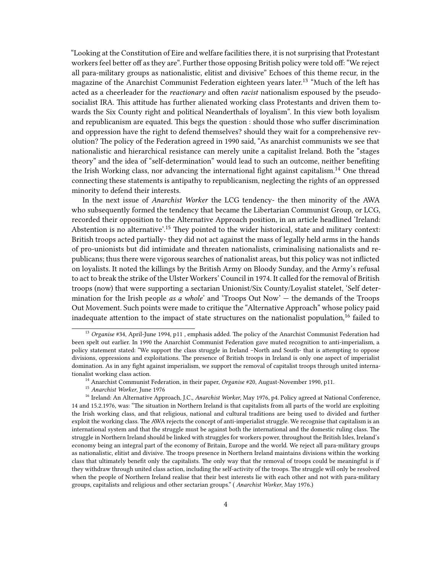"Looking at the Constitution of Eire and welfare facilities there, it is not surprising that Protestant workers feel better off as they are". Further those opposing British policy were told off: "We reject all para-military groups as nationalistic, elitist and divisive" Echoes of this theme recur, in the magazine of the Anarchist Communist Federation eighteen years later.<sup>13</sup> "Much of the left has acted as a cheerleader for the *reactionary* and often *racist* nationalism espoused by the pseudosocialist IRA. This attitude has further alienated working class Protestants and driven them towards the Six County right and political Neanderthals of loyalism". In this view both loyalism and republicanism are equated. This begs the question : should those who suffer discrimination and oppression have the right to defend themselves? should they wait for a comprehensive revolution? The policy of the Federation agreed in 1990 said, "As anarchist communists we see that nationalistic and hierarchical resistance can merely unite a capitalist Ireland. Both the "stages theory" and the idea of "self-determination" would lead to such an outcome, neither benefiting the Irish Working class, nor advancing the international fight against capitalism.<sup>14</sup> One thread connecting these statements is antipathy to republicanism, neglecting the rights of an oppressed minority to defend their interests.

In the next issue of *Anarchist Worker* the LCG tendency- the then minority of the AWA who subsequently formed the tendency that became the Libertarian Communist Group, or LCG, recorded their opposition to the Alternative Approach position, in an article headlined 'Ireland: Abstention is no alternative'.<sup>15</sup> They pointed to the wider historical, state and military context: British troops acted partially- they did not act against the mass of legally held arms in the hands of pro-unionists but did intimidate and threaten nationalists, criminalising nationalists and republicans; thus there were vigorous searches of nationalist areas, but this policy was not inflicted on loyalists. It noted the killings by the British Army on Bloody Sunday, and the Army's refusal to act to break the strike of the Ulster Workers' Council in 1974. It called for the removal of British troops (now) that were supporting a sectarian Unionist/Six County/Loyalist statelet, 'Self determination for the Irish people *as a whole*' and 'Troops Out Now' — the demands of the Troops Out Movement. Such points were made to critique the "Alternative Approach" whose policy paid inadequate attention to the impact of state structures on the nationalist population,<sup>16</sup> failed to

<sup>13</sup> *Organise* #34, April-June 1994, p11 *,* emphasis added. The policy of the Anarchist Communist Federation had been spelt out earlier. In 1990 the Anarchist Communist Federation gave muted recognition to anti-imperialism, a policy statement stated: "We support the class struggle in Ireland –North and South- that is attempting to oppose divisions, oppressions and exploitations. The presence of British troops in Ireland is only one aspect of imperialist domination. As in any fight against imperialism, we support the removal of capitalist troops through united internationalist working class action.

<sup>14</sup> Anarchist Communist Federation, in their paper, *Organise* #20, August-November 1990, p11.

<sup>15</sup> *Anarchist Worker*, June 1976

<sup>16</sup> Ireland: An Alternative Approach, J.C., *Anarchist Worker*, May 1976, p4. Policy agreed at National Conference, 14 and 15.2.1976, was: "The situation in Northern Ireland is that capitalists from all parts of the world are exploiting the Irish working class, and that religious, national and cultural traditions are being used to divided and further exploit the working class. The AWA rejects the concept of anti-imperialist struggle. We recognise that capitalism is an international system and that the struggle must be against both the international and the domestic ruling class. The struggle in Northern Ireland should be linked with struggles for workers power, throughout the British Isles, Ireland's economy being an integral part of the economy of Britain, Europe and the world. We reject all para-military groups as nationalistic, elitist and divisive. The troops presence in Northern Ireland maintains divisions within the working class that ultimately benefit only the capitalists. The only way that the removal of troops could be meaningful is if they withdraw through united class action, including the self-activity of the troops. The struggle will only be resolved when the people of Northern Ireland realise that their best interests lie with each other and not with para-military groups, capitalists and religious and other sectarian groups." ( *Anarchist Worker*, May 1976.)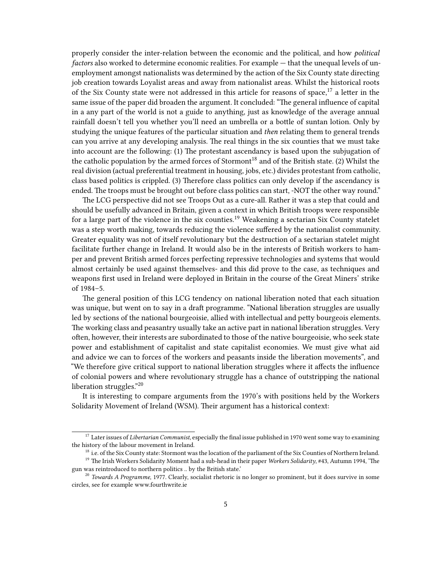properly consider the inter-relation between the economic and the political, and how *political factors* also worked to determine economic realities. For example — that the unequal levels of unemployment amongst nationalists was determined by the action of the Six County state directing job creation towards Loyalist areas and away from nationalist areas. Whilst the historical roots of the Six County state were not addressed in this article for reasons of space,  $17$  a letter in the same issue of the paper did broaden the argument. It concluded: "The general influence of capital in a any part of the world is not a guide to anything, just as knowledge of the average annual rainfall doesn't tell you whether you'll need an umbrella or a bottle of suntan lotion. Only by studying the unique features of the particular situation and *then* relating them to general trends can you arrive at any developing analysis. The real things in the six counties that we must take into account are the following: (1) The protestant ascendancy is based upon the subjugation of the catholic population by the armed forces of Stormont<sup>18</sup> and of the British state. (2) Whilst the real division (actual preferential treatment in housing, jobs, etc.) divides protestant from catholic, class based politics is crippled. (3) Therefore class politics can only develop if the ascendancy is ended. The troops must be brought out before class politics can start, -NOT the other way round."

The LCG perspective did not see Troops Out as a cure-all. Rather it was a step that could and should be usefully advanced in Britain, given a context in which British troops were responsible for a large part of the violence in the six counties.<sup>19</sup> Weakening a sectarian Six County statelet was a step worth making, towards reducing the violence suffered by the nationalist community. Greater equality was not of itself revolutionary but the destruction of a sectarian statelet might facilitate further change in Ireland. It would also be in the interests of British workers to hamper and prevent British armed forces perfecting repressive technologies and systems that would almost certainly be used against themselves- and this did prove to the case, as techniques and weapons first used in Ireland were deployed in Britain in the course of the Great Miners' strike of 1984–5.

The general position of this LCG tendency on national liberation noted that each situation was unique, but went on to say in a draft programme. "National liberation struggles are usually led by sections of the national bourgeoisie, allied with intellectual and petty bourgeois elements. The working class and peasantry usually take an active part in national liberation struggles. Very often, however, their interests are subordinated to those of the native bourgeoisie, who seek state power and establishment of capitalist and state capitalist economies. We must give what aid and advice we can to forces of the workers and peasants inside the liberation movements", and "We therefore give critical support to national liberation struggles where it affects the influence of colonial powers and where revolutionary struggle has a chance of outstripping the national liberation struggles."<sup>20</sup>

It is interesting to compare arguments from the 1970's with positions held by the Workers Solidarity Movement of Ireland (WSM). Their argument has a historical context:

<sup>&</sup>lt;sup>17</sup> Later issues of *Libertarian Communist*, especially the final issue published in 1970 went some way to examining the history of the labour movement in Ireland.

<sup>&</sup>lt;sup>18</sup> i.e. of the Six County state: Stormont was the location of the parliament of the Six Counties of Northern Ireland.

<sup>19</sup> The Irish Workers Solidarity Moment had a sub-head in their paper *Workers Solidarity*, #43, Autumn 1994, 'The gun was reintroduced to northern politics .. by the British state.'

<sup>&</sup>lt;sup>20</sup> *Towards A Programme*, 1977. Clearly, socialist rhetoric is no longer so prominent, but it does survive in some circles, see for example www.fourthwrite.ie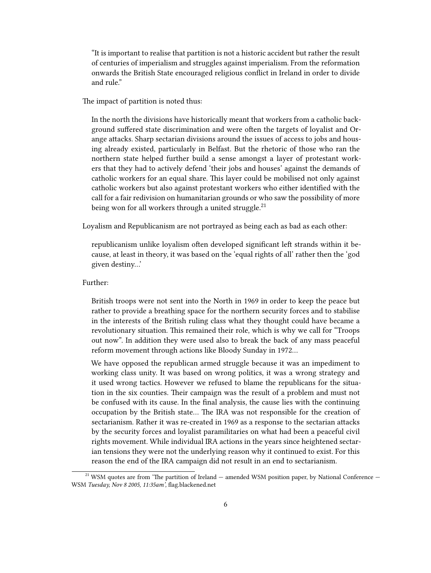"It is important to realise that partition is not a historic accident but rather the result of centuries of imperialism and struggles against imperialism. From the reformation onwards the British State encouraged religious conflict in Ireland in order to divide and rule."

The impact of partition is noted thus:

In the north the divisions have historically meant that workers from a catholic background suffered state discrimination and were often the targets of loyalist and Orange attacks. Sharp sectarian divisions around the issues of access to jobs and housing already existed, particularly in Belfast. But the rhetoric of those who ran the northern state helped further build a sense amongst a layer of protestant workers that they had to actively defend 'their jobs and houses' against the demands of catholic workers for an equal share. This layer could be mobilised not only against catholic workers but also against protestant workers who either identified with the call for a fair redivision on humanitarian grounds or who saw the possibility of more being won for all workers through a united struggle.<sup>21</sup>

Loyalism and Republicanism are not portrayed as being each as bad as each other:

republicanism unlike loyalism often developed significant left strands within it because, at least in theory, it was based on the 'equal rights of all' rather then the 'god given destiny…'

## Further:

British troops were not sent into the North in 1969 in order to keep the peace but rather to provide a breathing space for the northern security forces and to stabilise in the interests of the British ruling class what they thought could have became a revolutionary situation. This remained their role, which is why we call for "Troops out now". In addition they were used also to break the back of any mass peaceful reform movement through actions like Bloody Sunday in 1972…

We have opposed the republican armed struggle because it was an impediment to working class unity. It was based on wrong politics, it was a wrong strategy and it used wrong tactics. However we refused to blame the republicans for the situation in the six counties. Their campaign was the result of a problem and must not be confused with its cause. In the final analysis, the cause lies with the continuing occupation by the British state… The IRA was not responsible for the creation of sectarianism. Rather it was re-created in 1969 as a response to the sectarian attacks by the security forces and loyalist paramilitaries on what had been a peaceful civil rights movement. While individual IRA actions in the years since heightened sectarian tensions they were not the underlying reason why it continued to exist. For this reason the end of the IRA campaign did not result in an end to sectarianism.

 $21$  WSM quotes are from 'The partition of Ireland  $-$  amended WSM position paper, by National Conference  $-$ WSM *Tuesday, Nov 8 2005, 11:35am',* [flag.blackened.net](http://flag.blackened.net/revolt/wsm/positions/partition.html)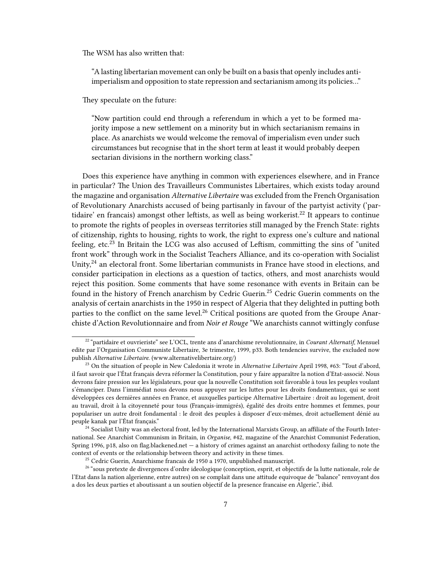The WSM has also written that:

"A lasting libertarian movement can only be built on a basis that openly includes antiimperialism and opposition to state repression and sectarianism among its policies…"

They speculate on the future:

"Now partition could end through a referendum in which a yet to be formed majority impose a new settlement on a minority but in which sectarianism remains in place. As anarchists we would welcome the removal of imperialism even under such circumstances but recognise that in the short term at least it would probably deepen sectarian divisions in the northern working class."

Does this experience have anything in common with experiences elsewhere, and in France in particular? The Union des Travailleurs Communistes Libertaires, which exists today around the magazine and organisation *Alternative Libertaire* was excluded from the French Organisation of Revolutionary Anarchists accused of being partisanly in favour of the partyist activity ('partidaire' en francais) amongst other leftists, as well as being workerist.<sup>22</sup> It appears to continue to promote the rights of peoples in overseas territories still managed by the French State: rights of citizenship, rights to housing, rights to work, the right to express one's culture and national feeling, etc.<sup>23</sup> In Britain the LCG was also accused of Leftism, committing the sins of "united" front work" through work in the Socialist Teachers Alliance, and its co-operation with Socialist Unity, $24$  an electoral front. Some libertarian communists in France have stood in elections, and consider participation in elections as a question of tactics, others, and most anarchists would reject this position. Some comments that have some resonance with events in Britain can be found in the history of French anarchism by Cedric Guerin.<sup>25</sup> Cedric Guerin comments on the analysis of certain anarchists in the 1950 in respect of Algeria that they delighted in putting both parties to the conflict on the same level.<sup>26</sup> Critical positions are quoted from the Groupe Anarchiste d'Action Revolutionnaire and from *Noir et Rouge* "We anarchists cannot wittingly confuse

<sup>22</sup> "partidaire et ouvrieriste" see L'OCL, trente ans d'anarchisme revolutionnaire, in *Courant Alternatif*, Mensuel edite par l'Organisation Communiste Libertaire, 3e trimestre, 1999, p33. Both tendencies survive, the excluded now publish *Alternative Libertaire*. [\(www.alternativelibertaire.org/](http://www.alternativelibertaire.org))

<sup>23</sup> On the situation of people in New Caledonia it wrote in *Alternative Libertaire* April 1998, #63: "Tout d'abord, il faut savoir que l'État français devra réformer la Constitution, pour y faire apparaître la notion d'Etat-associé. Nous devrons faire pression sur les législateurs, pour que la nouvelle Constitution soit favorable à tous les peuples voulant s'émanciper. Dans l'immédiat nous devons nous appuyer sur les luttes pour les droits fondamentaux, qui se sont développées ces dernières années en France, et auxquelles participe Alternative Libertaire : droit au logement, droit au travail, droit à la citoyenneté pour tous (Français-immigrés), égalité des droits entre hommes et femmes, pour populariser un autre droit fondamental : le droit des peuples à disposer d'eux-mêmes, droit actuellement dénié au peuple kanak par l'État français."

 $24$  Socialist Unity was an electoral front, led by the International Marxists Group, an affiliate of the Fourth International. See Anarchist Communism in Britain, in *Organise*, #42, magazine of the Anarchist Communist Federation, Spring 1996, p18, also on [flag.blackened.net](http://flag.blackened.net/af/org/issue42/acf10yrs.html) — a history of crimes against an anarchist orthodoxy failing to note the context of events or the relationship between theory and activity in these times.

 $25$  Cedric Guerin, Anarchisme francais de 1950 a 1970, unpublished manuscript.

<sup>&</sup>lt;sup>26</sup> "sous pretexte de divergences d'ordre ideologique (conception, esprit, et objectifs de la lutte nationale, role de l'Etat dans la nation algerienne, entre autres) on se complait dans une attitude equivoque de "balance" renvoyant dos a dos les deux parties et aboutissant a un soutien objectif de la presence francaise en Algerie.", ibid.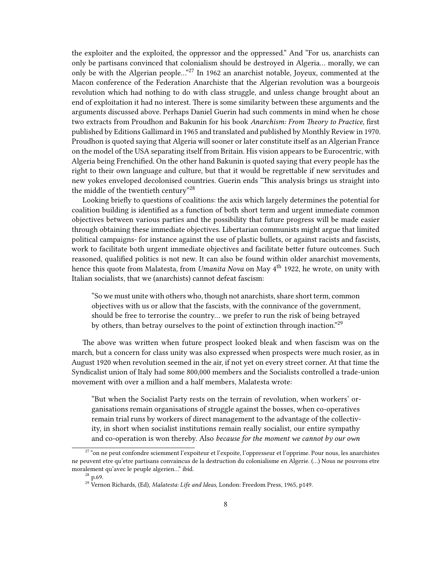the exploiter and the exploited, the oppressor and the oppressed." And "For us, anarchists can only be partisans convinced that colonialism should be destroyed in Algeria… morally, we can only be with the Algerian people…"<sup>27</sup> In 1962 an anarchist notable, Joyeux, commented at the Macon conference of the Federation Anarchiste that the Algerian revolution was a bourgeois revolution which had nothing to do with class struggle, and unless change brought about an end of exploitation it had no interest. There is some similarity between these arguments and the arguments discussed above. Perhaps Daniel Guerin had such comments in mind when he chose two extracts from Proudhon and Bakunin for his book *Anarchism: From Theory to Practice*, first published by Editions Gallimard in 1965 and translated and published by Monthly Review in 1970. Proudhon is quoted saying that Algeria will sooner or later constitute itself as an Algerian France on the model of the USA separating itself from Britain. His vision appears to be Eurocentric, with Algeria being Frenchified. On the other hand Bakunin is quoted saying that every people has the right to their own language and culture, but that it would be regrettable if new servitudes and new yokes enveloped decolonised countries. Guerin ends "This analysis brings us straight into the middle of the twentieth century"<sup>28</sup>

Looking briefly to questions of coalitions: the axis which largely determines the potential for coalition building is identified as a function of both short term and urgent immediate common objectives between various parties and the possibility that future progress will be made easier through obtaining these immediate objectives. Libertarian communists might argue that limited political campaigns- for instance against the use of plastic bullets, or against racists and fascists, work to facilitate both urgent immediate objectives and facilitate better future outcomes. Such reasoned, qualified politics is not new. It can also be found within older anarchist movements, hence this quote from Malatesta, from *Umanita Nova* on May 4<sup>th</sup> 1922, he wrote, on unity with Italian socialists, that we (anarchists) cannot defeat fascism:

"So we must unite with others who, though not anarchists, share short term, common objectives with us or allow that the fascists, with the connivance of the government, should be free to terrorise the country… we prefer to run the risk of being betrayed by others, than betray ourselves to the point of extinction through inaction."<sup>29</sup>

The above was written when future prospect looked bleak and when fascism was on the march, but a concern for class unity was also expressed when prospects were much rosier, as in August 1920 when revolution seemed in the air, if not yet on every street corner. At that time the Syndicalist union of Italy had some 800,000 members and the Socialists controlled a trade-union movement with over a million and a half members, Malatesta wrote:

"But when the Socialist Party rests on the terrain of revolution, when workers' organisations remain organisations of struggle against the bosses, when co-operatives remain trial runs by workers of direct management to the advantage of the collectivity, in short when socialist institutions remain really socialist, our entire sympathy and co-operation is won thereby. Also *because for the moment we cannot by our own*

 $27$  "on ne peut confondre sciemment l'expoiteur et l'expoite, l'oppresseur et l'opprime. Pour nous, les anarchistes ne peuvent etre qu'etre partisans convaincus de la destruction du colonialisme en Algerie. (…) Nous ne pouvons etre moralement qu'avec le peuple algerien…" ibid.

 $28$  p.69.

<sup>29</sup> Vernon Richards, (Ed), *Malatesta: Life and Ideas*, London: Freedom Press, 1965, p149.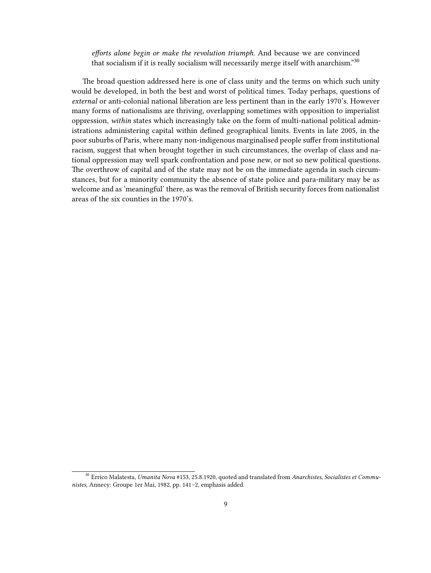*efforts alone begin or make the revolution triumph.* And because we are convinced that socialism if it is really socialism will necessarily merge itself with anarchism."<sup>30</sup>

The broad question addressed here is one of class unity and the terms on which such unity would be developed, in both the best and worst of political times. Today perhaps, questions of *external* or anti-colonial national liberation are less pertinent than in the early 1970's. However many forms of nationalisms are thriving, overlapping sometimes with opposition to imperialist oppression, *within* states which increasingly take on the form of multi-national political administrations administering capital within defined geographical limits. Events in late 2005, in the poor suburbs of Paris, where many non-indigenous marginalised people suffer from institutional racism, suggest that when brought together in such circumstances, the overlap of class and national oppression may well spark confrontation and pose new, or not so new political questions. The overthrow of capital and of the state may not be on the immediate agenda in such circumstances, but for a minority community the absence of state police and para-military may be as welcome and as 'meaningful' there, as was the removal of British security forces from nationalist areas of the six counties in the 1970's.

<sup>30</sup> Errico Malatesta, *Umanita Nova* #153, 25.8.1920, quoted and translated from *Anarchistes, Socialistes et Communistes,* Annecy: Groupe 1er Mai, 1982, pp. 141–2, emphasis added.